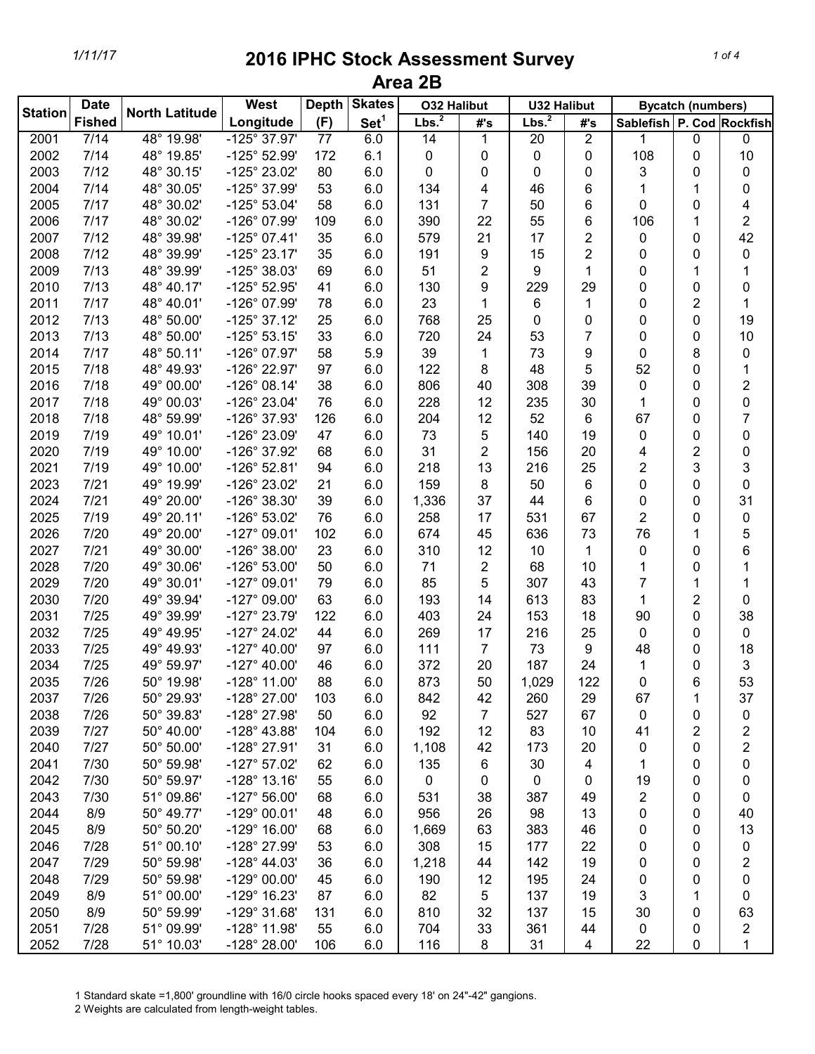|                | <b>Date</b>   |                       | West                  | <b>Depth</b> | <b>Skates</b>    | <b>O32 Halibut</b> |                | <b>U32 Halibut</b> |                |                           | <b>Bycatch (numbers)</b> |                         |
|----------------|---------------|-----------------------|-----------------------|--------------|------------------|--------------------|----------------|--------------------|----------------|---------------------------|--------------------------|-------------------------|
| <b>Station</b> | <b>Fished</b> | <b>North Latitude</b> | Longitude             | (F)          | Set <sup>1</sup> | Lbs. <sup>2</sup>  | #'s            | Lbs. <sup>2</sup>  | #'s            | Sablefish P. Cod Rockfish |                          |                         |
| 2001           | 7/14          | 48° 19.98'            | $-125^{\circ} 37.97'$ | 77           | 6.0              | 14                 | 1              | 20                 | 2              | 1                         | $\mathbf 0$              | 0                       |
| 2002           | 7/14          | 48° 19.85'            | -125° 52.99'          | 172          | 6.1              | 0                  | 0              | 0                  | 0              | 108                       | $\mathbf 0$              | 10                      |
| 2003           | 7/12          | 48° 30.15'            | -125° 23.02'          | 80           | 6.0              | 0                  | 0              | 0                  | 0              | 3                         | 0                        | 0                       |
| 2004           | 7/14          | 48° 30.05'            | -125° 37.99'          | 53           | 6.0              | 134                | 4              | 46                 | 6              | 1                         | 1                        | 0                       |
| 2005           | 7/17          | 48° 30.02'            | $-125^{\circ} 53.04'$ | 58           | 6.0              | 131                | $\overline{7}$ | 50                 | 6              | 0                         | 0                        | 4                       |
| 2006           | 7/17          | 48° 30.02'            | -126° 07.99'          | 109          | 6.0              | 390                | 22             | 55                 | 6              | 106                       | 1                        | $\overline{2}$          |
| 2007           | 7/12          | 48° 39.98'            | $-125^{\circ}$ 07.41' | 35           | 6.0              | 579                | 21             | 17                 | 2              | 0                         | $\mathbf 0$              | 42                      |
| 2008           | 7/12          | 48° 39.99'            | $-125^{\circ} 23.17'$ | 35           | 6.0              | 191                | 9              | 15                 | $\overline{2}$ | 0                         | $\mathbf 0$              | 0                       |
| 2009           | 7/13          | 48° 39.99'            | -125° 38.03'          | 69           | 6.0              | 51                 | 2              | 9                  | 1              | 0                         | 1                        | 1                       |
| 2010           | 7/13          | 48° 40.17'            | $-125^{\circ}$ 52.95' | 41           | 6.0              | 130                | 9              | 229                | 29             | 0                         | 0                        | 0                       |
| 2011           | 7/17          | 48° 40.01'            | -126° 07.99'          | 78           | 6.0              | 23                 | 1              | 6                  | 1              | 0                         | $\overline{2}$           | 1                       |
| 2012           | 7/13          | 48° 50.00'            | $-125^{\circ}$ 37.12' | 25           | 6.0              | 768                | 25             | 0                  | 0              | 0                         | 0                        | 19                      |
| 2013           | 7/13          | 48° 50.00'            | $-125^{\circ}53.15'$  | 33           | 6.0              | 720                | 24             | 53                 | 7              | 0                         | 0                        | 10                      |
| 2014           | 7/17          | 48° 50.11'            | -126° 07.97'          | 58           | 5.9              | 39                 | 1              | 73                 | 9              | 0                         | 8                        | 0                       |
| 2015           | 7/18          | 48° 49.93'            | -126° 22.97'          | 97           | 6.0              | 122                | 8              | 48                 | 5              | 52                        | 0                        | $\mathbf 1$             |
| 2016           | 7/18          | 49° 00.00'            | $-126^{\circ}$ 08.14' | 38           | 6.0              | 806                | 40             | 308                | 39             | 0                         | 0                        | $\overline{\mathbf{c}}$ |
| 2017           | 7/18          | 49° 00.03'            | -126° 23.04'          | 76           | 6.0              | 228                | 12             | 235                | 30             | 1                         | 0                        | 0                       |
| 2018           | 7/18          | 48° 59.99'            | -126° 37.93'          | 126          | 6.0              | 204                | 12             | 52                 | 6              | 67                        | $\mathbf{0}$             | 7                       |
| 2019           | 7/19          | 49° 10.01'            | -126° 23.09'          | 47           | 6.0              | 73                 | 5              | 140                | 19             | 0                         | 0                        | 0                       |
| 2020           | 7/19          | 49° 10.00'            | -126° 37.92'          | 68           | 6.0              | 31                 | 2              | 156                | 20             | 4                         | $\overline{2}$           | 0                       |
| 2021           | 7/19          | 49° 10.00'            | $-126^{\circ}$ 52.81' | 94           | 6.0              | 218                | 13             | 216                | 25             | $\overline{\mathbf{c}}$   | 3                        | 3                       |
| 2023           | 7/21          | 49° 19.99'            | -126° 23.02'          | 21           | 6.0              | 159                | 8              | 50                 | 6              | $\mathbf 0$               | 0                        | $\pmb{0}$               |
| 2024           | 7/21          | 49° 20.00'            | -126° 38.30'          | 39           | 6.0              | 1,336              | 37             | 44                 | 6              | 0                         | $\mathbf 0$              | 31                      |
| 2025           | 7/19          | 49° 20.11'            | -126° 53.02'          | 76           | 6.0              | 258                | 17             | 531                | 67             | $\overline{2}$            | $\mathbf 0$              | 0                       |
| 2026           | 7/20          | 49° 20.00'            | $-127^{\circ}$ 09.01' | 102          | 6.0              | 674                | 45             | 636                | 73             | 76                        | 1                        | 5                       |
| 2027           | 7/21          | 49° 30.00'            | $-126^{\circ}$ 38.00' | 23           | 6.0              | 310                | 12             | 10                 | 1              | 0                         | 0                        | 6                       |
| 2028           | 7/20          | 49° 30.06'            | $-126^{\circ}$ 53.00' | 50           | 6.0              | 71                 | 2              | 68                 | 10             | 1                         | 0                        | 1                       |
| 2029           | 7/20          | 49° 30.01'            | $-127^{\circ}$ 09.01' | 79           | 6.0              | 85                 | 5              | 307                | 43             | $\overline{7}$            | 1                        | 1                       |
| 2030           | 7/20          | 49° 39.94'            | $-127^{\circ}$ 09.00' | 63           | 6.0              | 193                | 14             | 613                | 83             | 1                         | $\overline{2}$           | 0                       |
| 2031           | 7/25          | 49° 39.99'            | $-127^{\circ}$ 23.79' | 122          | 6.0              | 403                | 24             | 153                | 18             | 90                        | 0                        | 38                      |
| 2032           | 7/25          | 49° 49.95'            | $-127^{\circ}$ 24.02' | 44           | 6.0              | 269                | 17             | 216                | 25             | 0                         | 0                        | 0                       |
| 2033           | 7/25          | 49° 49.93'            | $-127^{\circ}$ 40.00' | 97           | 6.0              | 111                | $\overline{7}$ | 73                 | 9              | 48                        | 0                        | 18                      |
| 2034           | 7/25          | 49° 59.97'            | $-127^{\circ}$ 40.00' | 46           | 6.0              | 372                | 20             | 187                | 24             | 1                         | 0                        | 3                       |
| 2035           | 7/26          | 50° 19.98'            | $-128^\circ$ 11.00'   | 88           | 6.0              | 873                | 50             | 1,029              | 122            | $\mathbf 0$               | 6                        | 53                      |
| 2037           | 7/26          | 50° 29.93'            | -128° 27.00'          | 103          | 6.0              | 842                | 42             | 260                | 29             | 67                        | 1                        | 37                      |
| 2038           | 7/26          | 50° 39.83'            | -128° 27.98'          | 50           | 6.0              | 92                 | 7              | 527                | 67             | 0                         | 0                        | 0                       |
| 2039           | 7/27          | 50° 40.00'            | $-128^{\circ}$ 43.88' | 104          | 6.0              | 192                | 12             | 83                 | 10             | 41                        | $\overline{2}$           | 2                       |
| 2040           | 7/27          | 50° 50.00'            | -128° 27.91'          | 31           | 6.0              | 1,108              | 42             | 173                | 20             | 0                         | 0                        | $\overline{\mathbf{c}}$ |
| 2041           | 7/30          | 50° 59.98'            | $-127^{\circ}$ 57.02' | 62           | 6.0              | 135                | 6              | 30                 | 4              | 1                         | 0                        | 0                       |
| 2042           | 7/30          | 50° 59.97'            | $-128^\circ$ 13.16'   | 55           | 6.0              | 0                  | 0              | 0                  | 0              | 19                        | 0                        | 0                       |
| 2043           | 7/30          | 51° 09.86'            | $-127^{\circ} 56.00'$ | 68           | 6.0              | 531                | 38             | 387                | 49             | 2                         | 0                        | 0                       |
| 2044           | 8/9           | 50° 49.77'            | $-129^{\circ}$ 00.01' | 48           | 6.0              | 956                | 26             | 98                 | 13             | 0                         | 0                        | 40                      |
| 2045           | 8/9           | 50° 50.20'            | $-129^{\circ}$ 16.00' | 68           | 6.0              | 1,669              | 63             | 383                | 46             | 0                         | 0                        | 13                      |
| 2046           | 7/28          | 51° 00.10'            | -128° 27.99'          | 53           | 6.0              | 308                | 15             | 177                | 22             | 0                         | 0                        | 0                       |
| 2047           | 7/29          | 50° 59.98'            | $-128^{\circ}$ 44.03' | 36           | 6.0              | 1,218              | 44             | 142                | 19             | 0                         | 0                        | 2                       |
| 2048           | 7/29          | 50° 59.98'            | $-129^{\circ}$ 00.00' | 45           | 6.0              | 190                | 12             | 195                | 24             | 0                         | 0                        | 0                       |
| 2049           | 8/9           | 51° 00.00'            | -129° 16.23'          | 87           | 6.0              | 82                 | 5              | 137                | 19             | 3                         | 1                        | 0                       |
| 2050           | 8/9           | 50° 59.99'            | -129° 31.68'          | 131          | 6.0              | 810                | 32             | 137                | 15             | 30                        | 0                        | 63                      |
| 2051           | 7/28          | 51° 09.99'            | -128° 11.98'          | 55           | 6.0              | 704                | 33             | 361                | 44             | 0                         | 0                        | 2                       |
| 2052           | 7/28          | 51° 10.03'            | -128° 28.00'          | 106          | 6.0              | 116                | 8              | 31                 | 4              | 22                        | 0                        | 1                       |

1 Standard skate =1,800' groundline with 16/0 circle hooks spaced every 18' on 24"-42" gangions.

2 Weights are calculated from length-weight tables.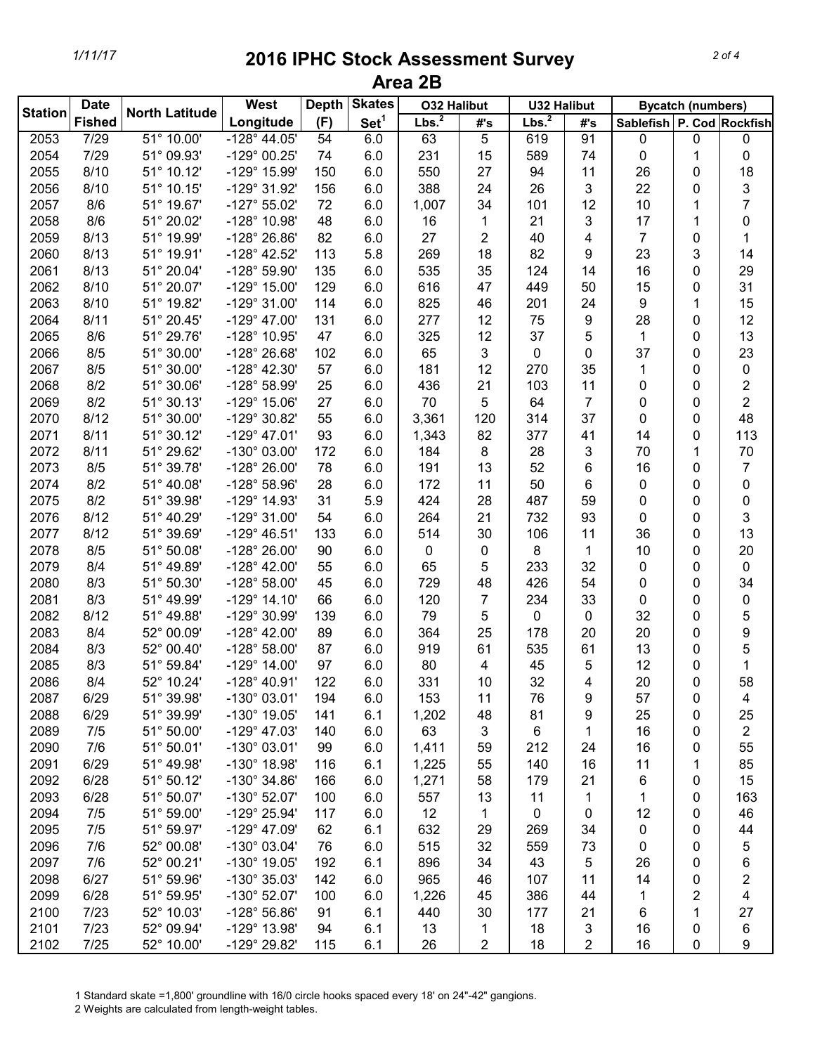| Set <sup>1</sup><br>Lbs. <sup>2</sup><br>Lbs. <sup>2</sup><br><b>Fished</b><br>Longitude<br>(F)<br>Sablefish P. Cod Rockfish<br>#'s<br>#'s<br>$51^{\circ}$ 10.00'<br>5<br>91<br>2053<br>7/29<br>$-128^{\circ}$ 44.05'<br>54<br>6.0<br>63<br>619<br>0<br>$\mathbf 0$<br>0<br>7/29<br>51° 09.93'<br>-129° 00.25'<br>6.0<br>231<br>15<br>589<br>74<br>$\pmb{0}$<br>0<br>2054<br>74<br>1<br>2055<br>8/10<br>51° 10.12'<br>-129° 15.99'<br>6.0<br>550<br>27<br>94<br>11<br>26<br>150<br>0<br>3<br>3<br>22<br>2056<br>8/10<br>51° 10.15'<br>6.0<br>388<br>24<br>26<br>-129° 31.92'<br>156<br>$\mathbf{0}$<br>$\overline{7}$<br>2057<br>8/6<br>51° 19.67'<br>$-127^{\circ}55.02'$<br>6.0<br>34<br>101<br>12<br>10<br>72<br>1,007<br>1<br>2058<br>8/6<br>51° 20.02'<br>-128° 10.98'<br>48<br>6.0<br>21<br>3<br>17<br>0<br>16<br>1<br>1<br>2059<br>8/13<br>51° 19.99'<br>-128° 26.86'<br>82<br>6.0<br>27<br>2<br>40<br>$\overline{7}$<br>4<br>$\mathbf 0$<br>1<br>23<br>8/13<br>-128° 42.52'<br>5.8<br>269<br>18<br>82<br>9<br>3<br>2060<br>51° 19.91'<br>113<br>8/13<br>535<br>35<br>124<br>16<br>2061<br>51° 20.04'<br>-128° 59.90'<br>135<br>6.0<br>14<br>0<br>8/10<br>51° 20.07'<br>$-129°$ 15.00'<br>129<br>6.0<br>616<br>449<br>2062<br>47<br>50<br>15<br>0<br>8/10<br>51° 19.82'<br>$-129°31.00'$<br>825<br>9<br>2063<br>114<br>6.0<br>46<br>201<br>24<br>1<br>8/11<br>51° 20.45'<br>$-129^{\circ}$ 47.00'<br>277<br>9<br>2064<br>131<br>6.0<br>12<br>75<br>28<br>0<br>8/6<br>51° 29.76'<br>-128° 10.95'<br>325<br>12<br>37<br>2065<br>47<br>6.0<br>5<br>1<br>0<br>2066<br>8/5<br>51° 30.00'<br>-128° 26.68'<br>6.0<br>65<br>3<br>37<br>102<br>0<br>0<br>0<br>51° 30.00'<br>2067<br>8/5<br>$-128^{\circ}$ 42.30'<br>57<br>6.0<br>181<br>12<br>270<br>35<br>0<br>$\mathbf 1$<br>0<br>$\overline{\mathbf{c}}$<br>2068<br>51° 30.06'<br>-128° 58.99'<br>25<br>21<br>103<br>11<br>$\boldsymbol{0}$<br>8/2<br>6.0<br>436<br>0<br>$\overline{2}$<br>7<br>8/2<br>51° 30.13'<br>$-129°$ 15.06'<br>6.0<br>70<br>5<br>64<br>$\boldsymbol{0}$<br>2069<br>27<br>0<br>8/12<br>51° 30.00'<br>-129° 30.82'<br>55<br>6.0<br>3,361<br>120<br>314<br>37<br>$\mathbf 0$<br>2070<br>0<br>2071<br>8/11<br>51° 30.12'<br>$-129^{\circ}$ 47.01'<br>93<br>6.0<br>82<br>377<br>41<br>1,343<br>14<br>0<br>2072<br>8/11<br>51° 29.62'<br>-130° 03.00'<br>28<br>3<br>70<br>172<br>6.0<br>184<br>8<br>1<br>2073<br>8/5<br>51° 39.78'<br>-128° 26.00'<br>6.0<br>13<br>52<br>16<br>7<br>78<br>191<br>6<br>$\mathbf 0$<br>2074<br>6.0<br>50<br>0<br>8/2<br>51° 40.08'<br>$-128^{\circ}58.96'$<br>28<br>172<br>11<br>6<br>0<br>$\mathbf 0$<br>2075<br>8/2<br>51° 39.98'<br>5.9<br>424<br>28<br>487<br>59<br>$\mathbf 0$<br>0<br>-129° 14.93'<br>31<br>$\mathbf 0$<br>2076<br>51° 40.29'<br>6.0<br>264<br>21<br>732<br>93<br>$\mathbf 0$<br>3<br>8/12<br>-129° 31.00'<br>54<br>$\mathbf 0$<br>2077<br>106<br>8/12<br>51° 39.69'<br>$-129^{\circ}$ 46.51'<br>133<br>6.0<br>514<br>30<br>11<br>36<br>$\mathbf 0$<br>2078<br>8/5<br>8<br>51° 50.08'<br>-128° 26.00'<br>90<br>6.0<br>0<br>0<br>1<br>10<br>0<br>2079<br>233<br>32<br>8/4<br>51° 49.89'<br>$-128^{\circ}$ 42.00'<br>55<br>6.0<br>65<br>5<br>0<br>$\mathbf 0$<br>0<br>2080<br>51° 50.30'<br>$-128^{\circ} 58.00'$<br>729<br>48<br>426<br>34<br>8/3<br>45<br>6.0<br>54<br>0<br>0<br>2081<br>8/3<br>51° 49.99'<br>120<br>7<br>0<br>$-129^{\circ}$ 14.10'<br>66<br>6.0<br>234<br>33<br>0<br>0<br>5<br>2082<br>8/12<br>51° 49.88'<br>79<br>5<br>-129° 30.99'<br>139<br>6.0<br>0<br>0<br>32<br>0<br>2083<br>8/4<br>52° 00.09'<br>$-128^{\circ}$ 42.00'<br>89<br>6.0<br>364<br>25<br>20<br>9<br>178<br>20<br>0 |                | <b>Date</b> |                       | <b>West</b> | <b>Depth</b> | <b>Skates</b> | <b>O32 Halibut</b> | <b>U32 Halibut</b> |  | <b>Bycatch (numbers)</b> |     |
|-------------------------------------------------------------------------------------------------------------------------------------------------------------------------------------------------------------------------------------------------------------------------------------------------------------------------------------------------------------------------------------------------------------------------------------------------------------------------------------------------------------------------------------------------------------------------------------------------------------------------------------------------------------------------------------------------------------------------------------------------------------------------------------------------------------------------------------------------------------------------------------------------------------------------------------------------------------------------------------------------------------------------------------------------------------------------------------------------------------------------------------------------------------------------------------------------------------------------------------------------------------------------------------------------------------------------------------------------------------------------------------------------------------------------------------------------------------------------------------------------------------------------------------------------------------------------------------------------------------------------------------------------------------------------------------------------------------------------------------------------------------------------------------------------------------------------------------------------------------------------------------------------------------------------------------------------------------------------------------------------------------------------------------------------------------------------------------------------------------------------------------------------------------------------------------------------------------------------------------------------------------------------------------------------------------------------------------------------------------------------------------------------------------------------------------------------------------------------------------------------------------------------------------------------------------------------------------------------------------------------------------------------------------------------------------------------------------------------------------------------------------------------------------------------------------------------------------------------------------------------------------------------------------------------------------------------------------------------------------------------------------------------------------------------------------------------------------------------------------------------------------------------------------------------------------------------------------------------------------------------------------------------------------------------------------------------------------------------------------------------------------------------------------------------------------------------------------------------------------------------------------------------------------------------------------------------------------------------------------------------------|----------------|-------------|-----------------------|-------------|--------------|---------------|--------------------|--------------------|--|--------------------------|-----|
|                                                                                                                                                                                                                                                                                                                                                                                                                                                                                                                                                                                                                                                                                                                                                                                                                                                                                                                                                                                                                                                                                                                                                                                                                                                                                                                                                                                                                                                                                                                                                                                                                                                                                                                                                                                                                                                                                                                                                                                                                                                                                                                                                                                                                                                                                                                                                                                                                                                                                                                                                                                                                                                                                                                                                                                                                                                                                                                                                                                                                                                                                                                                                                                                                                                                                                                                                                                                                                                                                                                                                                                                                               | <b>Station</b> |             | <b>North Latitude</b> |             |              |               |                    |                    |  |                          |     |
|                                                                                                                                                                                                                                                                                                                                                                                                                                                                                                                                                                                                                                                                                                                                                                                                                                                                                                                                                                                                                                                                                                                                                                                                                                                                                                                                                                                                                                                                                                                                                                                                                                                                                                                                                                                                                                                                                                                                                                                                                                                                                                                                                                                                                                                                                                                                                                                                                                                                                                                                                                                                                                                                                                                                                                                                                                                                                                                                                                                                                                                                                                                                                                                                                                                                                                                                                                                                                                                                                                                                                                                                                               |                |             |                       |             |              |               |                    |                    |  |                          |     |
|                                                                                                                                                                                                                                                                                                                                                                                                                                                                                                                                                                                                                                                                                                                                                                                                                                                                                                                                                                                                                                                                                                                                                                                                                                                                                                                                                                                                                                                                                                                                                                                                                                                                                                                                                                                                                                                                                                                                                                                                                                                                                                                                                                                                                                                                                                                                                                                                                                                                                                                                                                                                                                                                                                                                                                                                                                                                                                                                                                                                                                                                                                                                                                                                                                                                                                                                                                                                                                                                                                                                                                                                                               |                |             |                       |             |              |               |                    |                    |  |                          |     |
|                                                                                                                                                                                                                                                                                                                                                                                                                                                                                                                                                                                                                                                                                                                                                                                                                                                                                                                                                                                                                                                                                                                                                                                                                                                                                                                                                                                                                                                                                                                                                                                                                                                                                                                                                                                                                                                                                                                                                                                                                                                                                                                                                                                                                                                                                                                                                                                                                                                                                                                                                                                                                                                                                                                                                                                                                                                                                                                                                                                                                                                                                                                                                                                                                                                                                                                                                                                                                                                                                                                                                                                                                               |                |             |                       |             |              |               |                    |                    |  |                          | 18  |
|                                                                                                                                                                                                                                                                                                                                                                                                                                                                                                                                                                                                                                                                                                                                                                                                                                                                                                                                                                                                                                                                                                                                                                                                                                                                                                                                                                                                                                                                                                                                                                                                                                                                                                                                                                                                                                                                                                                                                                                                                                                                                                                                                                                                                                                                                                                                                                                                                                                                                                                                                                                                                                                                                                                                                                                                                                                                                                                                                                                                                                                                                                                                                                                                                                                                                                                                                                                                                                                                                                                                                                                                                               |                |             |                       |             |              |               |                    |                    |  |                          |     |
|                                                                                                                                                                                                                                                                                                                                                                                                                                                                                                                                                                                                                                                                                                                                                                                                                                                                                                                                                                                                                                                                                                                                                                                                                                                                                                                                                                                                                                                                                                                                                                                                                                                                                                                                                                                                                                                                                                                                                                                                                                                                                                                                                                                                                                                                                                                                                                                                                                                                                                                                                                                                                                                                                                                                                                                                                                                                                                                                                                                                                                                                                                                                                                                                                                                                                                                                                                                                                                                                                                                                                                                                                               |                |             |                       |             |              |               |                    |                    |  |                          |     |
|                                                                                                                                                                                                                                                                                                                                                                                                                                                                                                                                                                                                                                                                                                                                                                                                                                                                                                                                                                                                                                                                                                                                                                                                                                                                                                                                                                                                                                                                                                                                                                                                                                                                                                                                                                                                                                                                                                                                                                                                                                                                                                                                                                                                                                                                                                                                                                                                                                                                                                                                                                                                                                                                                                                                                                                                                                                                                                                                                                                                                                                                                                                                                                                                                                                                                                                                                                                                                                                                                                                                                                                                                               |                |             |                       |             |              |               |                    |                    |  |                          |     |
|                                                                                                                                                                                                                                                                                                                                                                                                                                                                                                                                                                                                                                                                                                                                                                                                                                                                                                                                                                                                                                                                                                                                                                                                                                                                                                                                                                                                                                                                                                                                                                                                                                                                                                                                                                                                                                                                                                                                                                                                                                                                                                                                                                                                                                                                                                                                                                                                                                                                                                                                                                                                                                                                                                                                                                                                                                                                                                                                                                                                                                                                                                                                                                                                                                                                                                                                                                                                                                                                                                                                                                                                                               |                |             |                       |             |              |               |                    |                    |  |                          |     |
|                                                                                                                                                                                                                                                                                                                                                                                                                                                                                                                                                                                                                                                                                                                                                                                                                                                                                                                                                                                                                                                                                                                                                                                                                                                                                                                                                                                                                                                                                                                                                                                                                                                                                                                                                                                                                                                                                                                                                                                                                                                                                                                                                                                                                                                                                                                                                                                                                                                                                                                                                                                                                                                                                                                                                                                                                                                                                                                                                                                                                                                                                                                                                                                                                                                                                                                                                                                                                                                                                                                                                                                                                               |                |             |                       |             |              |               |                    |                    |  |                          | 14  |
|                                                                                                                                                                                                                                                                                                                                                                                                                                                                                                                                                                                                                                                                                                                                                                                                                                                                                                                                                                                                                                                                                                                                                                                                                                                                                                                                                                                                                                                                                                                                                                                                                                                                                                                                                                                                                                                                                                                                                                                                                                                                                                                                                                                                                                                                                                                                                                                                                                                                                                                                                                                                                                                                                                                                                                                                                                                                                                                                                                                                                                                                                                                                                                                                                                                                                                                                                                                                                                                                                                                                                                                                                               |                |             |                       |             |              |               |                    |                    |  |                          | 29  |
|                                                                                                                                                                                                                                                                                                                                                                                                                                                                                                                                                                                                                                                                                                                                                                                                                                                                                                                                                                                                                                                                                                                                                                                                                                                                                                                                                                                                                                                                                                                                                                                                                                                                                                                                                                                                                                                                                                                                                                                                                                                                                                                                                                                                                                                                                                                                                                                                                                                                                                                                                                                                                                                                                                                                                                                                                                                                                                                                                                                                                                                                                                                                                                                                                                                                                                                                                                                                                                                                                                                                                                                                                               |                |             |                       |             |              |               |                    |                    |  |                          | 31  |
|                                                                                                                                                                                                                                                                                                                                                                                                                                                                                                                                                                                                                                                                                                                                                                                                                                                                                                                                                                                                                                                                                                                                                                                                                                                                                                                                                                                                                                                                                                                                                                                                                                                                                                                                                                                                                                                                                                                                                                                                                                                                                                                                                                                                                                                                                                                                                                                                                                                                                                                                                                                                                                                                                                                                                                                                                                                                                                                                                                                                                                                                                                                                                                                                                                                                                                                                                                                                                                                                                                                                                                                                                               |                |             |                       |             |              |               |                    |                    |  |                          | 15  |
|                                                                                                                                                                                                                                                                                                                                                                                                                                                                                                                                                                                                                                                                                                                                                                                                                                                                                                                                                                                                                                                                                                                                                                                                                                                                                                                                                                                                                                                                                                                                                                                                                                                                                                                                                                                                                                                                                                                                                                                                                                                                                                                                                                                                                                                                                                                                                                                                                                                                                                                                                                                                                                                                                                                                                                                                                                                                                                                                                                                                                                                                                                                                                                                                                                                                                                                                                                                                                                                                                                                                                                                                                               |                |             |                       |             |              |               |                    |                    |  |                          | 12  |
|                                                                                                                                                                                                                                                                                                                                                                                                                                                                                                                                                                                                                                                                                                                                                                                                                                                                                                                                                                                                                                                                                                                                                                                                                                                                                                                                                                                                                                                                                                                                                                                                                                                                                                                                                                                                                                                                                                                                                                                                                                                                                                                                                                                                                                                                                                                                                                                                                                                                                                                                                                                                                                                                                                                                                                                                                                                                                                                                                                                                                                                                                                                                                                                                                                                                                                                                                                                                                                                                                                                                                                                                                               |                |             |                       |             |              |               |                    |                    |  |                          | 13  |
|                                                                                                                                                                                                                                                                                                                                                                                                                                                                                                                                                                                                                                                                                                                                                                                                                                                                                                                                                                                                                                                                                                                                                                                                                                                                                                                                                                                                                                                                                                                                                                                                                                                                                                                                                                                                                                                                                                                                                                                                                                                                                                                                                                                                                                                                                                                                                                                                                                                                                                                                                                                                                                                                                                                                                                                                                                                                                                                                                                                                                                                                                                                                                                                                                                                                                                                                                                                                                                                                                                                                                                                                                               |                |             |                       |             |              |               |                    |                    |  |                          | 23  |
|                                                                                                                                                                                                                                                                                                                                                                                                                                                                                                                                                                                                                                                                                                                                                                                                                                                                                                                                                                                                                                                                                                                                                                                                                                                                                                                                                                                                                                                                                                                                                                                                                                                                                                                                                                                                                                                                                                                                                                                                                                                                                                                                                                                                                                                                                                                                                                                                                                                                                                                                                                                                                                                                                                                                                                                                                                                                                                                                                                                                                                                                                                                                                                                                                                                                                                                                                                                                                                                                                                                                                                                                                               |                |             |                       |             |              |               |                    |                    |  |                          |     |
|                                                                                                                                                                                                                                                                                                                                                                                                                                                                                                                                                                                                                                                                                                                                                                                                                                                                                                                                                                                                                                                                                                                                                                                                                                                                                                                                                                                                                                                                                                                                                                                                                                                                                                                                                                                                                                                                                                                                                                                                                                                                                                                                                                                                                                                                                                                                                                                                                                                                                                                                                                                                                                                                                                                                                                                                                                                                                                                                                                                                                                                                                                                                                                                                                                                                                                                                                                                                                                                                                                                                                                                                                               |                |             |                       |             |              |               |                    |                    |  |                          |     |
|                                                                                                                                                                                                                                                                                                                                                                                                                                                                                                                                                                                                                                                                                                                                                                                                                                                                                                                                                                                                                                                                                                                                                                                                                                                                                                                                                                                                                                                                                                                                                                                                                                                                                                                                                                                                                                                                                                                                                                                                                                                                                                                                                                                                                                                                                                                                                                                                                                                                                                                                                                                                                                                                                                                                                                                                                                                                                                                                                                                                                                                                                                                                                                                                                                                                                                                                                                                                                                                                                                                                                                                                                               |                |             |                       |             |              |               |                    |                    |  |                          |     |
|                                                                                                                                                                                                                                                                                                                                                                                                                                                                                                                                                                                                                                                                                                                                                                                                                                                                                                                                                                                                                                                                                                                                                                                                                                                                                                                                                                                                                                                                                                                                                                                                                                                                                                                                                                                                                                                                                                                                                                                                                                                                                                                                                                                                                                                                                                                                                                                                                                                                                                                                                                                                                                                                                                                                                                                                                                                                                                                                                                                                                                                                                                                                                                                                                                                                                                                                                                                                                                                                                                                                                                                                                               |                |             |                       |             |              |               |                    |                    |  |                          | 48  |
|                                                                                                                                                                                                                                                                                                                                                                                                                                                                                                                                                                                                                                                                                                                                                                                                                                                                                                                                                                                                                                                                                                                                                                                                                                                                                                                                                                                                                                                                                                                                                                                                                                                                                                                                                                                                                                                                                                                                                                                                                                                                                                                                                                                                                                                                                                                                                                                                                                                                                                                                                                                                                                                                                                                                                                                                                                                                                                                                                                                                                                                                                                                                                                                                                                                                                                                                                                                                                                                                                                                                                                                                                               |                |             |                       |             |              |               |                    |                    |  |                          | 113 |
|                                                                                                                                                                                                                                                                                                                                                                                                                                                                                                                                                                                                                                                                                                                                                                                                                                                                                                                                                                                                                                                                                                                                                                                                                                                                                                                                                                                                                                                                                                                                                                                                                                                                                                                                                                                                                                                                                                                                                                                                                                                                                                                                                                                                                                                                                                                                                                                                                                                                                                                                                                                                                                                                                                                                                                                                                                                                                                                                                                                                                                                                                                                                                                                                                                                                                                                                                                                                                                                                                                                                                                                                                               |                |             |                       |             |              |               |                    |                    |  |                          | 70  |
|                                                                                                                                                                                                                                                                                                                                                                                                                                                                                                                                                                                                                                                                                                                                                                                                                                                                                                                                                                                                                                                                                                                                                                                                                                                                                                                                                                                                                                                                                                                                                                                                                                                                                                                                                                                                                                                                                                                                                                                                                                                                                                                                                                                                                                                                                                                                                                                                                                                                                                                                                                                                                                                                                                                                                                                                                                                                                                                                                                                                                                                                                                                                                                                                                                                                                                                                                                                                                                                                                                                                                                                                                               |                |             |                       |             |              |               |                    |                    |  |                          |     |
|                                                                                                                                                                                                                                                                                                                                                                                                                                                                                                                                                                                                                                                                                                                                                                                                                                                                                                                                                                                                                                                                                                                                                                                                                                                                                                                                                                                                                                                                                                                                                                                                                                                                                                                                                                                                                                                                                                                                                                                                                                                                                                                                                                                                                                                                                                                                                                                                                                                                                                                                                                                                                                                                                                                                                                                                                                                                                                                                                                                                                                                                                                                                                                                                                                                                                                                                                                                                                                                                                                                                                                                                                               |                |             |                       |             |              |               |                    |                    |  |                          |     |
|                                                                                                                                                                                                                                                                                                                                                                                                                                                                                                                                                                                                                                                                                                                                                                                                                                                                                                                                                                                                                                                                                                                                                                                                                                                                                                                                                                                                                                                                                                                                                                                                                                                                                                                                                                                                                                                                                                                                                                                                                                                                                                                                                                                                                                                                                                                                                                                                                                                                                                                                                                                                                                                                                                                                                                                                                                                                                                                                                                                                                                                                                                                                                                                                                                                                                                                                                                                                                                                                                                                                                                                                                               |                |             |                       |             |              |               |                    |                    |  |                          |     |
|                                                                                                                                                                                                                                                                                                                                                                                                                                                                                                                                                                                                                                                                                                                                                                                                                                                                                                                                                                                                                                                                                                                                                                                                                                                                                                                                                                                                                                                                                                                                                                                                                                                                                                                                                                                                                                                                                                                                                                                                                                                                                                                                                                                                                                                                                                                                                                                                                                                                                                                                                                                                                                                                                                                                                                                                                                                                                                                                                                                                                                                                                                                                                                                                                                                                                                                                                                                                                                                                                                                                                                                                                               |                |             |                       |             |              |               |                    |                    |  |                          |     |
|                                                                                                                                                                                                                                                                                                                                                                                                                                                                                                                                                                                                                                                                                                                                                                                                                                                                                                                                                                                                                                                                                                                                                                                                                                                                                                                                                                                                                                                                                                                                                                                                                                                                                                                                                                                                                                                                                                                                                                                                                                                                                                                                                                                                                                                                                                                                                                                                                                                                                                                                                                                                                                                                                                                                                                                                                                                                                                                                                                                                                                                                                                                                                                                                                                                                                                                                                                                                                                                                                                                                                                                                                               |                |             |                       |             |              |               |                    |                    |  |                          | 13  |
|                                                                                                                                                                                                                                                                                                                                                                                                                                                                                                                                                                                                                                                                                                                                                                                                                                                                                                                                                                                                                                                                                                                                                                                                                                                                                                                                                                                                                                                                                                                                                                                                                                                                                                                                                                                                                                                                                                                                                                                                                                                                                                                                                                                                                                                                                                                                                                                                                                                                                                                                                                                                                                                                                                                                                                                                                                                                                                                                                                                                                                                                                                                                                                                                                                                                                                                                                                                                                                                                                                                                                                                                                               |                |             |                       |             |              |               |                    |                    |  |                          | 20  |
|                                                                                                                                                                                                                                                                                                                                                                                                                                                                                                                                                                                                                                                                                                                                                                                                                                                                                                                                                                                                                                                                                                                                                                                                                                                                                                                                                                                                                                                                                                                                                                                                                                                                                                                                                                                                                                                                                                                                                                                                                                                                                                                                                                                                                                                                                                                                                                                                                                                                                                                                                                                                                                                                                                                                                                                                                                                                                                                                                                                                                                                                                                                                                                                                                                                                                                                                                                                                                                                                                                                                                                                                                               |                |             |                       |             |              |               |                    |                    |  |                          |     |
|                                                                                                                                                                                                                                                                                                                                                                                                                                                                                                                                                                                                                                                                                                                                                                                                                                                                                                                                                                                                                                                                                                                                                                                                                                                                                                                                                                                                                                                                                                                                                                                                                                                                                                                                                                                                                                                                                                                                                                                                                                                                                                                                                                                                                                                                                                                                                                                                                                                                                                                                                                                                                                                                                                                                                                                                                                                                                                                                                                                                                                                                                                                                                                                                                                                                                                                                                                                                                                                                                                                                                                                                                               |                |             |                       |             |              |               |                    |                    |  |                          |     |
|                                                                                                                                                                                                                                                                                                                                                                                                                                                                                                                                                                                                                                                                                                                                                                                                                                                                                                                                                                                                                                                                                                                                                                                                                                                                                                                                                                                                                                                                                                                                                                                                                                                                                                                                                                                                                                                                                                                                                                                                                                                                                                                                                                                                                                                                                                                                                                                                                                                                                                                                                                                                                                                                                                                                                                                                                                                                                                                                                                                                                                                                                                                                                                                                                                                                                                                                                                                                                                                                                                                                                                                                                               |                |             |                       |             |              |               |                    |                    |  |                          |     |
|                                                                                                                                                                                                                                                                                                                                                                                                                                                                                                                                                                                                                                                                                                                                                                                                                                                                                                                                                                                                                                                                                                                                                                                                                                                                                                                                                                                                                                                                                                                                                                                                                                                                                                                                                                                                                                                                                                                                                                                                                                                                                                                                                                                                                                                                                                                                                                                                                                                                                                                                                                                                                                                                                                                                                                                                                                                                                                                                                                                                                                                                                                                                                                                                                                                                                                                                                                                                                                                                                                                                                                                                                               |                |             |                       |             |              |               |                    |                    |  |                          |     |
|                                                                                                                                                                                                                                                                                                                                                                                                                                                                                                                                                                                                                                                                                                                                                                                                                                                                                                                                                                                                                                                                                                                                                                                                                                                                                                                                                                                                                                                                                                                                                                                                                                                                                                                                                                                                                                                                                                                                                                                                                                                                                                                                                                                                                                                                                                                                                                                                                                                                                                                                                                                                                                                                                                                                                                                                                                                                                                                                                                                                                                                                                                                                                                                                                                                                                                                                                                                                                                                                                                                                                                                                                               |                |             |                       |             |              |               |                    |                    |  |                          |     |
| 2084<br>8/3<br>52° 00.40'<br>$-128°58.00'$<br>61<br>535<br>61<br>13<br>5<br>87<br>6.0<br>919<br>0                                                                                                                                                                                                                                                                                                                                                                                                                                                                                                                                                                                                                                                                                                                                                                                                                                                                                                                                                                                                                                                                                                                                                                                                                                                                                                                                                                                                                                                                                                                                                                                                                                                                                                                                                                                                                                                                                                                                                                                                                                                                                                                                                                                                                                                                                                                                                                                                                                                                                                                                                                                                                                                                                                                                                                                                                                                                                                                                                                                                                                                                                                                                                                                                                                                                                                                                                                                                                                                                                                                             |                |             |                       |             |              |               |                    |                    |  |                          |     |
| 2085<br>8/3<br>51° 59.84'<br>$-129°$ 14.00'<br>97<br>12<br>6.0<br>80<br>45<br>5<br>1<br>4<br>0                                                                                                                                                                                                                                                                                                                                                                                                                                                                                                                                                                                                                                                                                                                                                                                                                                                                                                                                                                                                                                                                                                                                                                                                                                                                                                                                                                                                                                                                                                                                                                                                                                                                                                                                                                                                                                                                                                                                                                                                                                                                                                                                                                                                                                                                                                                                                                                                                                                                                                                                                                                                                                                                                                                                                                                                                                                                                                                                                                                                                                                                                                                                                                                                                                                                                                                                                                                                                                                                                                                                |                |             |                       |             |              |               |                    |                    |  |                          |     |
| 32<br>2086<br>52° 10.24'<br>$-128^{\circ}$ 40.91'<br>122<br>6.0<br>331<br>20<br>8/4<br>10<br>4<br>0                                                                                                                                                                                                                                                                                                                                                                                                                                                                                                                                                                                                                                                                                                                                                                                                                                                                                                                                                                                                                                                                                                                                                                                                                                                                                                                                                                                                                                                                                                                                                                                                                                                                                                                                                                                                                                                                                                                                                                                                                                                                                                                                                                                                                                                                                                                                                                                                                                                                                                                                                                                                                                                                                                                                                                                                                                                                                                                                                                                                                                                                                                                                                                                                                                                                                                                                                                                                                                                                                                                           |                |             |                       |             |              |               |                    |                    |  |                          | 58  |
| 6/29<br>51° 39.98'<br>-130° 03.01'<br>153<br>11<br>9<br>57<br>2087<br>6.0<br>76<br>0<br>4<br>194                                                                                                                                                                                                                                                                                                                                                                                                                                                                                                                                                                                                                                                                                                                                                                                                                                                                                                                                                                                                                                                                                                                                                                                                                                                                                                                                                                                                                                                                                                                                                                                                                                                                                                                                                                                                                                                                                                                                                                                                                                                                                                                                                                                                                                                                                                                                                                                                                                                                                                                                                                                                                                                                                                                                                                                                                                                                                                                                                                                                                                                                                                                                                                                                                                                                                                                                                                                                                                                                                                                              |                |             |                       |             |              |               |                    |                    |  |                          |     |
| 2088<br>51° 39.99'<br>6/29<br>-130° 19.05'<br>141<br>6.1<br>1,202<br>81<br>9<br>25<br>48<br>0                                                                                                                                                                                                                                                                                                                                                                                                                                                                                                                                                                                                                                                                                                                                                                                                                                                                                                                                                                                                                                                                                                                                                                                                                                                                                                                                                                                                                                                                                                                                                                                                                                                                                                                                                                                                                                                                                                                                                                                                                                                                                                                                                                                                                                                                                                                                                                                                                                                                                                                                                                                                                                                                                                                                                                                                                                                                                                                                                                                                                                                                                                                                                                                                                                                                                                                                                                                                                                                                                                                                 |                |             |                       |             |              |               |                    |                    |  |                          | 25  |
| 2089<br>51° 50.00'<br>3<br>6<br>$\overline{2}$<br>7/5<br>$-129^{\circ}$ 47.03'<br>6.0<br>63<br>16<br>140<br>1<br>0                                                                                                                                                                                                                                                                                                                                                                                                                                                                                                                                                                                                                                                                                                                                                                                                                                                                                                                                                                                                                                                                                                                                                                                                                                                                                                                                                                                                                                                                                                                                                                                                                                                                                                                                                                                                                                                                                                                                                                                                                                                                                                                                                                                                                                                                                                                                                                                                                                                                                                                                                                                                                                                                                                                                                                                                                                                                                                                                                                                                                                                                                                                                                                                                                                                                                                                                                                                                                                                                                                            |                |             |                       |             |              |               |                    |                    |  |                          |     |
| 212<br>2090<br>7/6<br>51° 50.01'<br>$-130^{\circ}$ 03.01'<br>99<br>6.0<br>1,411<br>59<br>24<br>16<br>0                                                                                                                                                                                                                                                                                                                                                                                                                                                                                                                                                                                                                                                                                                                                                                                                                                                                                                                                                                                                                                                                                                                                                                                                                                                                                                                                                                                                                                                                                                                                                                                                                                                                                                                                                                                                                                                                                                                                                                                                                                                                                                                                                                                                                                                                                                                                                                                                                                                                                                                                                                                                                                                                                                                                                                                                                                                                                                                                                                                                                                                                                                                                                                                                                                                                                                                                                                                                                                                                                                                        |                |             |                       |             |              |               |                    |                    |  |                          | 55  |
| 2091<br>6/29<br>51° 49.98'<br>-130° 18.98'<br>6.1<br>1,225<br>140<br>16<br>11<br>116<br>55<br>1                                                                                                                                                                                                                                                                                                                                                                                                                                                                                                                                                                                                                                                                                                                                                                                                                                                                                                                                                                                                                                                                                                                                                                                                                                                                                                                                                                                                                                                                                                                                                                                                                                                                                                                                                                                                                                                                                                                                                                                                                                                                                                                                                                                                                                                                                                                                                                                                                                                                                                                                                                                                                                                                                                                                                                                                                                                                                                                                                                                                                                                                                                                                                                                                                                                                                                                                                                                                                                                                                                                               |                |             |                       |             |              |               |                    |                    |  |                          | 85  |
| 2092<br>6/28<br>51° 50.12'<br>-130° 34.86'<br>6.0<br>58<br>179<br>21<br>166<br>1,271<br>6<br>0                                                                                                                                                                                                                                                                                                                                                                                                                                                                                                                                                                                                                                                                                                                                                                                                                                                                                                                                                                                                                                                                                                                                                                                                                                                                                                                                                                                                                                                                                                                                                                                                                                                                                                                                                                                                                                                                                                                                                                                                                                                                                                                                                                                                                                                                                                                                                                                                                                                                                                                                                                                                                                                                                                                                                                                                                                                                                                                                                                                                                                                                                                                                                                                                                                                                                                                                                                                                                                                                                                                                |                |             |                       |             |              |               |                    |                    |  |                          | 15  |
| 2093<br>6/28<br>6.0<br>51° 50.07'<br>$-130^{\circ}$ 52.07'<br>100<br>557<br>13<br>11<br>1<br>1<br>0                                                                                                                                                                                                                                                                                                                                                                                                                                                                                                                                                                                                                                                                                                                                                                                                                                                                                                                                                                                                                                                                                                                                                                                                                                                                                                                                                                                                                                                                                                                                                                                                                                                                                                                                                                                                                                                                                                                                                                                                                                                                                                                                                                                                                                                                                                                                                                                                                                                                                                                                                                                                                                                                                                                                                                                                                                                                                                                                                                                                                                                                                                                                                                                                                                                                                                                                                                                                                                                                                                                           |                |             |                       |             |              |               |                    |                    |  |                          | 163 |
| 2094<br>7/5<br>51° 59.00'<br>-129° 25.94'<br>6.0<br>12<br>0<br>117<br>0<br>12<br>1<br>0                                                                                                                                                                                                                                                                                                                                                                                                                                                                                                                                                                                                                                                                                                                                                                                                                                                                                                                                                                                                                                                                                                                                                                                                                                                                                                                                                                                                                                                                                                                                                                                                                                                                                                                                                                                                                                                                                                                                                                                                                                                                                                                                                                                                                                                                                                                                                                                                                                                                                                                                                                                                                                                                                                                                                                                                                                                                                                                                                                                                                                                                                                                                                                                                                                                                                                                                                                                                                                                                                                                                       |                |             |                       |             |              |               |                    |                    |  |                          | 46  |
| 2095<br>7/5<br>51° 59.97'<br>$-129^{\circ}$ 47.09'<br>62<br>6.1<br>632<br>29<br>269<br>34<br>0<br>0                                                                                                                                                                                                                                                                                                                                                                                                                                                                                                                                                                                                                                                                                                                                                                                                                                                                                                                                                                                                                                                                                                                                                                                                                                                                                                                                                                                                                                                                                                                                                                                                                                                                                                                                                                                                                                                                                                                                                                                                                                                                                                                                                                                                                                                                                                                                                                                                                                                                                                                                                                                                                                                                                                                                                                                                                                                                                                                                                                                                                                                                                                                                                                                                                                                                                                                                                                                                                                                                                                                           |                |             |                       |             |              |               |                    |                    |  |                          | 44  |
| 2096<br>7/6<br>52° 00.08'<br>$-130^{\circ}$ 03.04'<br>515<br>32<br>559<br>5<br>76<br>6.0<br>73<br>0<br>0                                                                                                                                                                                                                                                                                                                                                                                                                                                                                                                                                                                                                                                                                                                                                                                                                                                                                                                                                                                                                                                                                                                                                                                                                                                                                                                                                                                                                                                                                                                                                                                                                                                                                                                                                                                                                                                                                                                                                                                                                                                                                                                                                                                                                                                                                                                                                                                                                                                                                                                                                                                                                                                                                                                                                                                                                                                                                                                                                                                                                                                                                                                                                                                                                                                                                                                                                                                                                                                                                                                      |                |             |                       |             |              |               |                    |                    |  |                          |     |
| 2097<br>7/6<br>52° 00.21'<br>-130° 19.05'<br>192<br>43<br>5<br>6<br>6.1<br>896<br>34<br>26<br>0                                                                                                                                                                                                                                                                                                                                                                                                                                                                                                                                                                                                                                                                                                                                                                                                                                                                                                                                                                                                                                                                                                                                                                                                                                                                                                                                                                                                                                                                                                                                                                                                                                                                                                                                                                                                                                                                                                                                                                                                                                                                                                                                                                                                                                                                                                                                                                                                                                                                                                                                                                                                                                                                                                                                                                                                                                                                                                                                                                                                                                                                                                                                                                                                                                                                                                                                                                                                                                                                                                                               |                |             |                       |             |              |               |                    |                    |  |                          |     |
| 2098<br>6/27<br>51° 59.96'<br>-130° 35.03'<br>142<br>965<br>107<br>14<br>2<br>6.0<br>46<br>11<br>0                                                                                                                                                                                                                                                                                                                                                                                                                                                                                                                                                                                                                                                                                                                                                                                                                                                                                                                                                                                                                                                                                                                                                                                                                                                                                                                                                                                                                                                                                                                                                                                                                                                                                                                                                                                                                                                                                                                                                                                                                                                                                                                                                                                                                                                                                                                                                                                                                                                                                                                                                                                                                                                                                                                                                                                                                                                                                                                                                                                                                                                                                                                                                                                                                                                                                                                                                                                                                                                                                                                            |                |             |                       |             |              |               |                    |                    |  |                          |     |
| 2099<br>6/28<br>51° 59.95'<br>-130° 52.07'<br>386<br>4<br>100<br>6.0<br>1,226<br>45<br>44<br>2<br>1                                                                                                                                                                                                                                                                                                                                                                                                                                                                                                                                                                                                                                                                                                                                                                                                                                                                                                                                                                                                                                                                                                                                                                                                                                                                                                                                                                                                                                                                                                                                                                                                                                                                                                                                                                                                                                                                                                                                                                                                                                                                                                                                                                                                                                                                                                                                                                                                                                                                                                                                                                                                                                                                                                                                                                                                                                                                                                                                                                                                                                                                                                                                                                                                                                                                                                                                                                                                                                                                                                                           |                |             |                       |             |              |               |                    |                    |  |                          |     |
| 2100<br>7/23<br>52° 10.03'<br>-128° 56.86'<br>6.1<br>6<br>1<br>91<br>440<br>30<br>177<br>21                                                                                                                                                                                                                                                                                                                                                                                                                                                                                                                                                                                                                                                                                                                                                                                                                                                                                                                                                                                                                                                                                                                                                                                                                                                                                                                                                                                                                                                                                                                                                                                                                                                                                                                                                                                                                                                                                                                                                                                                                                                                                                                                                                                                                                                                                                                                                                                                                                                                                                                                                                                                                                                                                                                                                                                                                                                                                                                                                                                                                                                                                                                                                                                                                                                                                                                                                                                                                                                                                                                                   |                |             |                       |             |              |               |                    |                    |  |                          | 27  |
| 3<br>2101<br>7/23<br>52° 09.94'<br>-129° 13.98'<br>6.1<br>13<br>18<br>6<br>94<br>16<br>0<br>1                                                                                                                                                                                                                                                                                                                                                                                                                                                                                                                                                                                                                                                                                                                                                                                                                                                                                                                                                                                                                                                                                                                                                                                                                                                                                                                                                                                                                                                                                                                                                                                                                                                                                                                                                                                                                                                                                                                                                                                                                                                                                                                                                                                                                                                                                                                                                                                                                                                                                                                                                                                                                                                                                                                                                                                                                                                                                                                                                                                                                                                                                                                                                                                                                                                                                                                                                                                                                                                                                                                                 |                |             |                       |             |              |               |                    |                    |  |                          |     |
| 2<br>2102<br>7/25<br>52° 10.00'<br>-129° 29.82'<br>6.1<br>26<br>2<br>18<br>9<br>115<br>16<br>0                                                                                                                                                                                                                                                                                                                                                                                                                                                                                                                                                                                                                                                                                                                                                                                                                                                                                                                                                                                                                                                                                                                                                                                                                                                                                                                                                                                                                                                                                                                                                                                                                                                                                                                                                                                                                                                                                                                                                                                                                                                                                                                                                                                                                                                                                                                                                                                                                                                                                                                                                                                                                                                                                                                                                                                                                                                                                                                                                                                                                                                                                                                                                                                                                                                                                                                                                                                                                                                                                                                                |                |             |                       |             |              |               |                    |                    |  |                          |     |

1 Standard skate =1,800' groundline with 16/0 circle hooks spaced every 18' on 24"-42" gangions.

2 Weights are calculated from length-weight tables.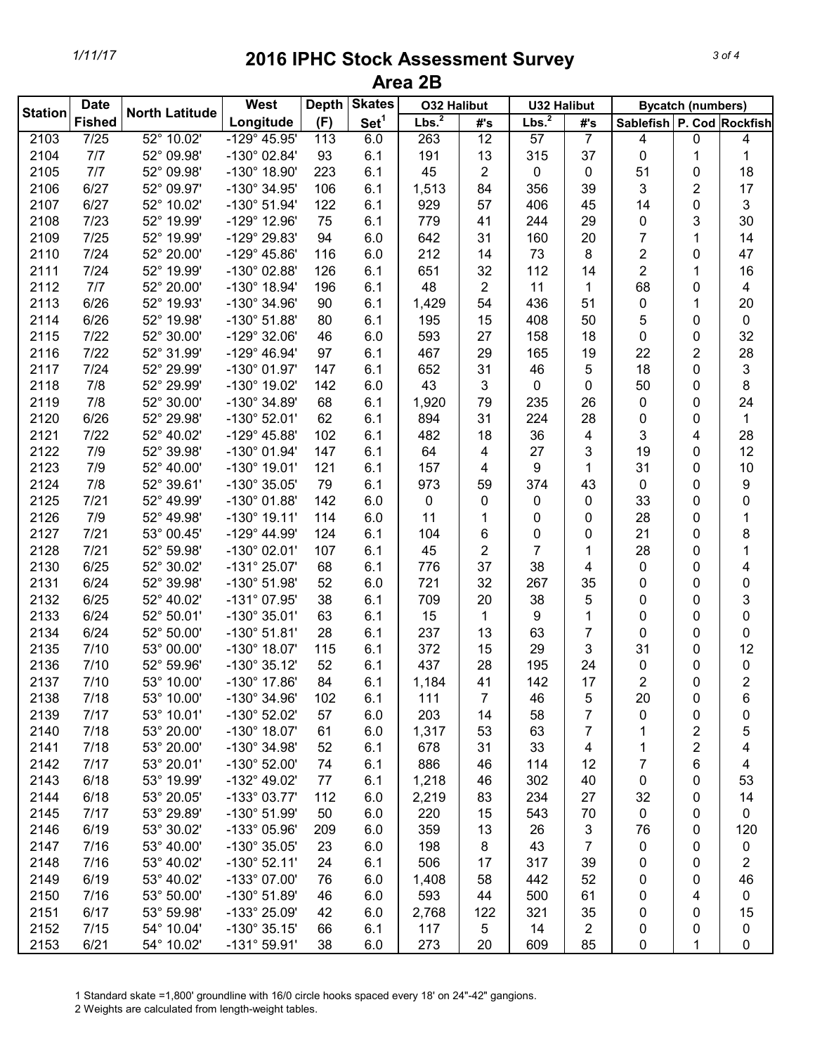| <b>Date</b><br><b>Station</b> |               | <b>North Latitude</b> | <b>West</b>                           | <b>Skates</b><br><b>Depth</b> |                  | <b>O32 Halibut</b> |     | <b>U32 Halibut</b> |                | <b>Bycatch (numbers)</b>  |                |                |
|-------------------------------|---------------|-----------------------|---------------------------------------|-------------------------------|------------------|--------------------|-----|--------------------|----------------|---------------------------|----------------|----------------|
|                               | <b>Fished</b> |                       | Longitude                             | (F)                           | Set <sup>1</sup> | Lbs. <sup>2</sup>  | #'s | Lbs. <sup>2</sup>  | #'s            | Sablefish P. Cod Rockfish |                |                |
| 2103                          | 7/25          | 52° 10.02'            | $-129^{\circ}$ 45.95'                 | 113                           | 6.0              | 263                | 12  | $\overline{57}$    | $\overline{7}$ | 4                         | $\pmb{0}$      | 4              |
| 2104                          | 7/7           | 52° 09.98'            | $-130^{\circ}$ 02.84'                 | 93                            | 6.1              | 191                | 13  | 315                | 37             | 0                         | 1              | 1              |
| 2105                          | 7/7           | 52° 09.98'            | -130° 18.90'                          | 223                           | 6.1              | 45                 | 2   | 0                  | 0              | 51                        | 0              | 18             |
| 2106                          | 6/27          | 52° 09.97'            | -130° 34.95'                          | 106                           | 6.1              | 1,513              | 84  | 356                | 39             | 3                         | $\overline{2}$ | 17             |
| 2107                          | 6/27          | 52° 10.02'            | $-130^{\circ}$ 51.94'                 | 122                           | 6.1              | 929                | 57  | 406                | 45             | 14                        | 0              | 3              |
| 2108                          | 7/23          | 52° 19.99'            | -129° 12.96'                          | 75                            | 6.1              | 779                | 41  | 244                | 29             | 0                         | 3              | 30             |
| 2109                          | 7/25          | 52° 19.99'            | -129° 29.83'                          | 94                            | 6.0              | 642                | 31  | 160                | 20             | $\overline{7}$            | 1              | 14             |
| 2110                          | 7/24          | 52° 20.00'            | $-129^{\circ}$ 45.86'                 | 116                           | 6.0              | 212                | 14  | 73                 | 8              | $\overline{2}$            | $\mathbf 0$    | 47             |
| 2111                          | 7/24          | 52° 19.99'            | -130° 02.88'                          | 126                           | 6.1              | 651                | 32  | 112                | 14             | $\overline{2}$            | 1              | 16             |
| 2112                          | 7/7           | 52° 20.00'            | $-130^{\circ}$ 18.94'                 | 196                           | 6.1              | 48                 | 2   | 11                 | 1              | 68                        | 0              | 4              |
| 2113                          | 6/26          | 52° 19.93'            | -130° 34.96'                          | 90                            | 6.1              | 1,429              | 54  | 436                | 51             | 0                         | 1              | 20             |
| 2114                          | 6/26          | 52° 19.98'            | $-130^{\circ}$ 51.88'                 | 80                            | 6.1              | 195                | 15  | 408                | 50             | 5                         | 0              | $\pmb{0}$      |
| 2115                          | 7/22          | 52° 30.00'            | -129° 32.06'                          | 46                            | 6.0              | 593                | 27  | 158                | 18             | 0                         | 0              | 32             |
| 2116                          | 7/22          | 52° 31.99'            | $-129^{\circ}$ 46.94'                 | 97                            | 6.1              | 467                | 29  | 165                | 19             | 22                        | $\overline{2}$ | 28             |
| 2117                          | 7/24          | 52° 29.99'            | $-130^{\circ}$ 01.97'                 | 147                           | 6.1              | 652                | 31  | 46                 | 5              | 18                        | 0              | 3              |
| 2118                          | 7/8           | 52° 29.99'            | -130° 19.02'                          | 142                           | 6.0              | 43                 | 3   | 0                  | 0              | 50                        | 0              | 8              |
| 2119                          | 7/8           | 52° 30.00'            | -130° 34.89'                          | 68                            | 6.1              | 1,920              | 79  | 235                | 26             | 0                         | 0              | 24             |
| 2120                          | 6/26          | 52° 29.98'            | $-130^{\circ}$ 52.01'                 | 62                            | 6.1              | 894                | 31  | 224                | 28             | 0                         | 0              | $\mathbf{1}$   |
| 2121                          | 7/22          | 52° 40.02'            | -129° 45.88'                          | 102                           | 6.1              | 482                | 18  | 36                 | 4              | 3                         | 4              | 28             |
| 2122                          | 7/9           | 52° 39.98'            | -130° 01.94'                          | 147                           | 6.1              | 64                 | 4   | 27                 | 3              | 19                        | $\mathbf{0}$   | 12             |
| 2123                          | 7/9           | 52° 40.00'            | $-130^{\circ}$ 19.01'                 | 121                           | 6.1              | 157                | 4   | 9                  | 1              | 31                        | $\mathbf 0$    | 10             |
| 2124                          | 7/8           | 52° 39.61'            | -130° 35.05'                          | 79                            | 6.1              | 973                | 59  | 374                | 43             | 0                         | $\mathbf 0$    | 9              |
| 2125                          | 7/21          | 52° 49.99'            | $-130^{\circ}$ 01.88'                 | 142                           | 6.0              | 0                  | 0   | 0                  | 0              | 33                        | $\mathbf{0}$   | 0              |
| 2126                          | 7/9           | 52° 49.98'            | $-130^{\circ}$ 19.11'                 | 114                           | 6.0              | 11                 | 1   | 0                  | 0              | 28                        | $\mathbf{0}$   | 1              |
| 2127                          | 7/21          | 53° 00.45'            | $-129^{\circ}$ 44.99'                 | 124                           | 6.1              | 104                | 6   | 0                  | 0              | 21                        | $\mathbf 0$    | 8              |
| 2128                          | 7/21          | 52° 59.98'            | $-130^{\circ}$ 02.01'                 | 107                           | 6.1              | 45                 | 2   | $\overline{7}$     | 1              | 28                        | 0              | 1              |
| 2130                          | 6/25          | 52° 30.02'            | $-131^{\circ} 25.07'$                 | 68                            | 6.1              | 776                | 37  | 38                 | 4              | 0                         | 0              | 4              |
| 2131                          | 6/24          | 52° 39.98'            | $-130^{\circ}$ 51.98'                 | 52                            | 6.0              | 721                | 32  | 267                | 35             | 0                         | 0              | 0              |
| 2132                          | 6/25          | 52° 40.02'            | -131° 07.95'                          | 38                            | 6.1              | 709                | 20  | 38                 | 5              | 0                         | 0              | 3              |
| 2133                          | 6/24          | 52° 50.01'            | $-130^{\circ}$ 35.01'                 | 63                            | 6.1              | 15                 | 1   | 9                  | 1              | 0                         | 0              | 0              |
| 2134                          | 6/24          | 52° 50.00'            | $-130^{\circ}$ 51.81'                 | 28                            | 6.1              | 237                | 13  | 63                 | 7              | 0                         | 0              | 0              |
| 2135                          | 7/10          | 53° 00.00'            | $-130^{\circ}$ 18.07'                 | 115                           | 6.1              | 372                | 15  | 29                 | 3              | 31                        | 0              | 12             |
| 2136                          | 7/10          | 52° 59.96'            | -130° 35.12'                          | 52                            | 6.1              | 437                | 28  | 195                | 24             | 0                         | 0              | 0              |
| 2137                          | 7/10          | 53° 10.00'            | $-130^{\circ}$ 17.86'                 | 84                            | 6.1              | 1,184              | 41  | 142                | 17             | $\overline{2}$            | 0              | $\overline{2}$ |
| 2138                          | 7/18          | 53° 10.00'            | -130° 34.96'                          | 102                           | 6.1              | 111                | 7   | 46                 | 5              | 20                        | 0              | 6              |
| 2139                          | 7/17          | 53° 10.01'            | -130° 52.02'                          | 57                            | 6.0              | 203                | 14  | 58                 | 7              | 0                         | 0              | 0              |
| 2140                          | 7/18          | 53° 20.00'            | $-130^{\circ}$ 18.07'                 | 61                            | 6.0              | 1,317              | 53  | 63                 | 7              | 1                         | 2              | 5              |
| 2141                          | 7/18          | 53° 20.00'            | -130° 34.98'                          | 52                            | 6.1              | 678                | 31  | 33                 | 4              | 1                         | 2              | 4              |
| 2142                          | 7/17          | 53° 20.01'            | $-130^{\circ}$ 52.00'                 | 74                            | 6.1              | 886                | 46  | 114                | 12             | 7                         | 6              | 4              |
| 2143                          | 6/18          | 53° 19.99'            | $-132^{\circ}$ 49.02'                 | 77                            | 6.1              | 1,218              | 46  | 302                | 40             | 0                         | 0              | 53             |
| 2144                          | 6/18          | 53° 20.05'            | $-133^{\circ}$ 03.77'                 | 112                           | 6.0              | 2,219              | 83  | 234                | 27             | 32                        | 0              | 14             |
| 2145                          | 7/17          | 53° 29.89'            | $-130^{\circ}$ 51.99'                 | 50                            | 6.0              | 220                | 15  | 543                | 70             | 0                         | 0              | 0              |
| 2146                          | 6/19          | 53° 30.02'            |                                       |                               |                  |                    |     |                    |                |                           |                |                |
| 2147                          | 7/16          | 53° 40.00'            | -133° 05.96'<br>$-130^{\circ}$ 35.05' | 209<br>23                     | 6.0<br>6.0       | 359<br>198         | 13  | 26<br>43           | 3<br>7         | 76                        | 0              | 120            |
|                               |               |                       |                                       |                               |                  |                    | 8   |                    |                | 0                         | 0              | 0              |
| 2148                          | 7/16          | 53° 40.02'            | $-130^{\circ}$ 52.11'                 | 24                            | 6.1              | 506                | 17  | 317                | 39             | 0                         | 0              | 2              |
| 2149                          | 6/19          | 53° 40.02'            | -133° 07.00'                          | 76                            | 6.0              | 1,408              | 58  | 442                | 52             | 0                         | 0              | 46             |
| 2150                          | 7/16          | 53° 50.00'            | $-130^{\circ}$ 51.89'                 | 46                            | 6.0              | 593                | 44  | 500                | 61             | 0                         | 4              | 0              |
| 2151                          | 6/17          | 53° 59.98'            | -133° 25.09'                          | 42                            | 6.0              | 2,768              | 122 | 321                | 35             | 0                         | 0              | 15             |
| 2152                          | 7/15          | 54° 10.04'            | $-130^{\circ}$ 35.15'                 | 66                            | 6.1              | 117                | 5   | 14                 | 2              | 0                         | 0              | 0              |
| 2153                          | 6/21          | 54° 10.02'            | $-131^{\circ}59.91'$                  | 38                            | 6.0              | 273                | 20  | 609                | 85             | 0                         | 1              | 0              |

1 Standard skate =1,800' groundline with 16/0 circle hooks spaced every 18' on 24"-42" gangions.

2 Weights are calculated from length-weight tables.